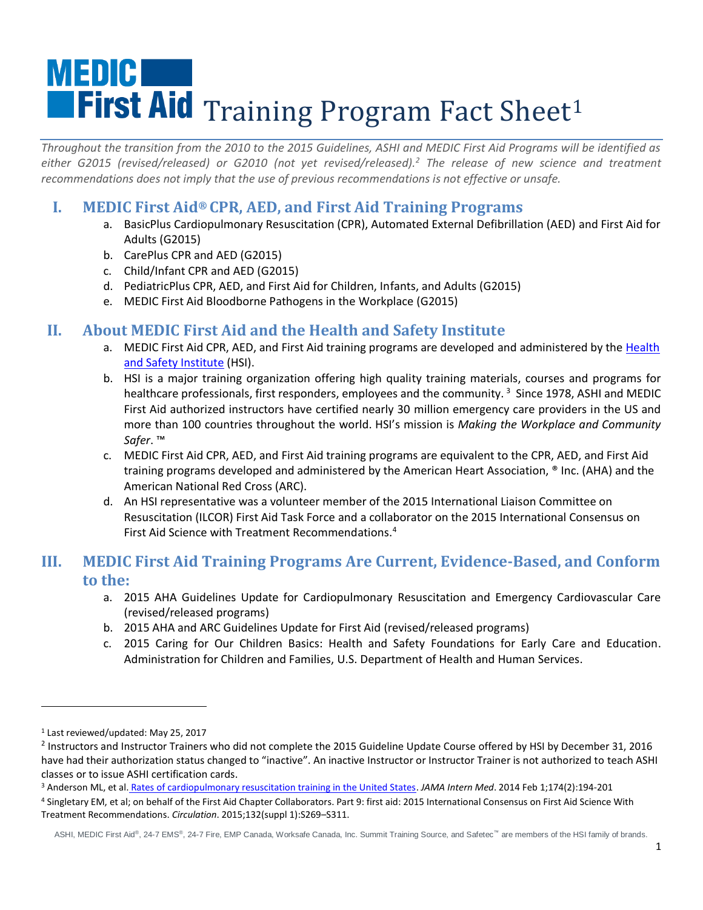# **MEDIC** First Aid Training Program Fact Sheet<sup>1</sup>

*Throughout the transition from the 2010 to the 2015 Guidelines, ASHI and MEDIC First Aid Programs will be identified as either G2015 (revised/released) or G2010 (not yet revised/released).<sup>2</sup> The release of new science and treatment recommendations does not imply that the use of previous recommendations is not effective or unsafe.* 

## **I. MEDIC First Aid® CPR, AED, and First Aid Training Programs**

- a. BasicPlus Cardiopulmonary Resuscitation (CPR), Automated External Defibrillation (AED) and First Aid for Adults (G2015)
- b. CarePlus CPR and AED (G2015)
- c. Child/Infant CPR and AED (G2015)
- d. PediatricPlus CPR, AED, and First Aid for Children, Infants, and Adults (G2015)
- e. MEDIC First Aid Bloodborne Pathogens in the Workplace (G2015)

## **II. About MEDIC First Aid and the Health and Safety Institute**

- a. MEDIC First Aid CPR, AED, and First Aid training programs are developed and administered by the Health [and Safety Institute](http://hsi.com/) (HSI).
- b. HSI is a major training organization offering high quality training materials, courses and programs for healthcare professionals, first responders, employees and the community.<sup>3</sup> Since 1978, ASHI and MEDIC First Aid authorized instructors have certified nearly 30 million emergency care providers in the US and more than 100 countries throughout the world. HSI's mission is *Making the Workplace and Community Safer*. ™
- c. MEDIC First Aid CPR, AED, and First Aid training programs are equivalent to the CPR, AED, and First Aid training programs developed and administered by the American Heart Association, ® Inc. (AHA) and the American National Red Cross (ARC).
- d. An HSI representative was a volunteer member of the 2015 International Liaison Committee on Resuscitation (ILCOR) First Aid Task Force and a collaborator on the 2015 International Consensus on First Aid Science with Treatment Recommendations.<sup>4</sup>

### **III. MEDIC First Aid Training Programs Are Current, Evidence-Based, and Conform to the:**

- a. 2015 AHA Guidelines Update for Cardiopulmonary Resuscitation and Emergency Cardiovascular Care (revised/released programs)
- b. 2015 AHA and ARC Guidelines Update for First Aid (revised/released programs)
- c. 2015 Caring for Our Children Basics: Health and Safety Foundations for Early Care and Education. Administration for Children and Families, U.S. Department of Health and Human Services.

l

<sup>1</sup> Last reviewed/updated: May 25, 2017

 $^2$  Instructors and Instructor Trainers who did not complete the 2015 Guideline Update Course offered by HSI by December 31, 2016 have had their authorization status changed to "inactive". An inactive Instructor or Instructor Trainer is not authorized to teach ASHI classes or to issue ASHI certification cards.

<sup>3</sup> Anderson ML, et al. [Rates of cardiopulmonary resuscitation training in the United States.](http://www.ncbi.nlm.nih.gov/pubmed/24247329) *JAMA Intern Med*. 2014 Feb 1;174(2):194-201

<sup>4</sup> Singletary EM, et al; on behalf of the First Aid Chapter Collaborators. Part 9: first aid: 2015 International Consensus on First Aid Science With Treatment Recommendations. *Circulation*. 2015;132(suppl 1):S269–S311.

ASHI, MEDIC First Aid®, 24-7 EMS®, 24-7 Fire, EMP Canada, Worksafe Canada, Inc. Summit Training Source, and Safetec™ are members of the HSI family of brands.